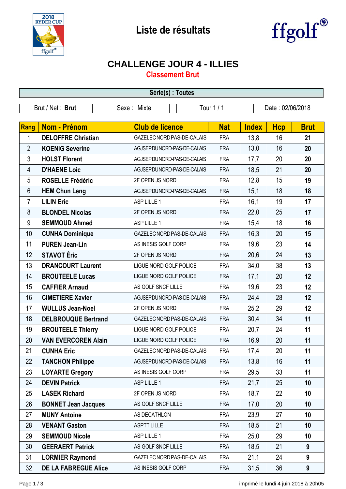



## **CHALLENGE JOUR 4 - ILLIES**

**Classement Brut**

| Série(s) : Toutes |                             |                            |            |                  |            |             |
|-------------------|-----------------------------|----------------------------|------------|------------------|------------|-------------|
|                   | Brut / Net: Brut            | Sexe: Mixte                | Tour 1/1   | Date: 02/06/2018 |            |             |
| Rang              | Nom - Prénom                | <b>Club de licence</b>     | <b>Nat</b> | <b>Index</b>     | <b>Hcp</b> | <b>Brut</b> |
| 1                 | <b>DELOFFRE Christian</b>   | GAZELEC NORD PAS-DE-CALAIS | <b>FRA</b> | 13,8             | 16         | 21          |
| $\overline{2}$    | <b>KOENIG Severine</b>      | AGJSEPDUNORD-PAS-DE-CALAIS | <b>FRA</b> | 13,0             | 16         | 20          |
| 3                 | <b>HOLST Florent</b>        | AGJSEPDUNORD-PAS-DE-CALAIS | <b>FRA</b> | 17,7             | 20         | 20          |
| 4                 | <b>D'HAENE Loic</b>         | AGJSEPDUNORD-PAS-DE-CALAIS | <b>FRA</b> | 18,5             | 21         | 20          |
| 5                 | <b>ROSELLE Frédéric</b>     | 2F OPEN JS NORD            | <b>FRA</b> | 12,8             | 15         | 19          |
| 6                 | <b>HEM Chun Leng</b>        | AGJSEPDUNORD-PAS-DE-CALAIS | <b>FRA</b> | 15,1             | 18         | 18          |
| $\overline{7}$    | <b>LILIN Eric</b>           | ASP LILLE 1                | <b>FRA</b> | 16,1             | 19         | 17          |
| 8                 | <b>BLONDEL Nicolas</b>      | 2F OPEN JS NORD            | <b>FRA</b> | 22,0             | 25         | 17          |
| 9                 | <b>SEMMOUD Ahmed</b>        | ASP LILLE 1                | <b>FRA</b> | 15,4             | 18         | 16          |
| 10                | <b>CUNHA Dominique</b>      | GAZELEC NORD PAS-DE-CALAIS | <b>FRA</b> | 16,3             | 20         | 15          |
| 11                | <b>PUREN Jean-Lin</b>       | AS INESIS GOLF CORP        | <b>FRA</b> | 19,6             | 23         | 14          |
| 12                | <b>STAVOT Éric</b>          | 2F OPEN JS NORD            | <b>FRA</b> | 20,6             | 24         | 13          |
| 13                | <b>DRANCOURT Laurent</b>    | LIGUE NORD GOLF POLICE     | <b>FRA</b> | 34,0             | 38         | 13          |
| 14                | <b>BROUTEELE Lucas</b>      | LIGUE NORD GOLF POLICE     | <b>FRA</b> | 17,1             | 20         | 12          |
| 15                | <b>CAFFIER Arnaud</b>       | AS GOLF SNCF LILLE         | <b>FRA</b> | 19,6             | 23         | 12          |
| 16                | <b>CIMETIERE Xavier</b>     | AGJSEPDUNORD-PAS-DE-CALAIS | <b>FRA</b> | 24,4             | 28         | 12          |
| 17                | <b>WULLUS Jean-Noel</b>     | 2F OPEN JS NORD            | <b>FRA</b> | 25,2             | 29         | 12          |
| 18                | <b>DELBROUQUE Bertrand</b>  | GAZELEC NORD PAS-DE-CALAIS | <b>FRA</b> | 30,4             | 34         | 11          |
| 19                | <b>BROUTEELE Thierry</b>    | LIGUE NORD GOLF POLICE     | <b>FRA</b> | 20,7             | 24         | 11          |
| 20                | <b>VAN EVERCOREN Alain</b>  | LIGUE NORD GOLF POLICE     | <b>FRA</b> | 16,9             | 20         | 11          |
| 21                | <b>CUNHA Eric</b>           | GAZELEC NORD PAS-DE-CALAIS | FRA        | 17,4             | 20         | 11          |
| 22                | <b>TANCHON Philippe</b>     | AGJSEPDUNORD-PAS-DE-CALAIS | <b>FRA</b> | 13,8             | 16         | 11          |
| 23                | <b>LOYARTE Gregory</b>      | AS INESIS GOLF CORP        | <b>FRA</b> | 29,5             | 33         | 11          |
| 24                | <b>DEVIN Patrick</b>        | ASP LILLE 1                | <b>FRA</b> | 21,7             | 25         | 10          |
| 25                | <b>LASEK Richard</b>        | 2F OPEN JS NORD            | <b>FRA</b> | 18,7             | 22         | 10          |
| 26                | <b>BONNET Jean Jacques</b>  | AS GOLF SNCF LILLE         | <b>FRA</b> | 17,0             | 20         | 10          |
| 27                | <b>MUNY Antoine</b>         | AS DECATHLON               | <b>FRA</b> | 23,9             | 27         | 10          |
| 28                | <b>VENANT Gaston</b>        | <b>ASPTT LILLE</b>         | <b>FRA</b> | 18,5             | 21         | 10          |
| 29                | <b>SEMMOUD Nicole</b>       | ASP LILLE 1                | <b>FRA</b> | 25,0             | 29         | 10          |
| 30                | <b>GEERAERT Patrick</b>     | AS GOLF SNCF LILLE         | <b>FRA</b> | 18,5             | 21         | 9           |
| 31                | <b>LORMIER Raymond</b>      | GAZELEC NORD PAS-DE-CALAIS | <b>FRA</b> | 21,1             | 24         | 9           |
| 32                | <b>DE LA FABREGUE Alice</b> | AS INESIS GOLF CORP        | <b>FRA</b> | 31,5             | 36         | 9           |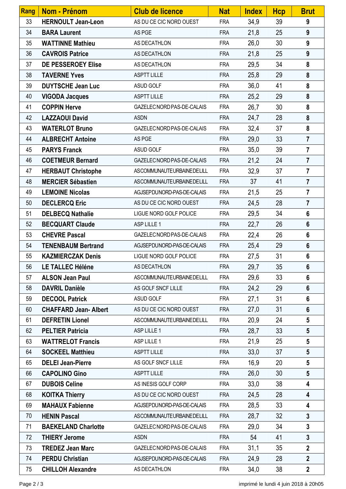| Rang | Nom - Prénom                | <b>Club de licence</b>     | <b>Nat</b> | <b>Index</b> | <b>Hcp</b> | <b>Brut</b>             |
|------|-----------------------------|----------------------------|------------|--------------|------------|-------------------------|
| 33   | <b>HERNOULT Jean-Leon</b>   | AS DU CE CIC NORD OUEST    | <b>FRA</b> | 34,9         | 39         | 9                       |
| 34   | <b>BARA Laurent</b>         | AS PGE                     | <b>FRA</b> | 21,8         | 25         | 9                       |
| 35   | <b>WATTINNE Mathieu</b>     | AS DECATHLON               | <b>FRA</b> | 26,0         | 30         | 9                       |
| 36   | <b>CAVROIS Patrice</b>      | AS DECATHLON               | <b>FRA</b> | 21,8         | 25         | 9                       |
| 37   | DE PESSEROEY Elise          | AS DECATHLON               | <b>FRA</b> | 29,5         | 34         | 8                       |
| 38   | <b>TAVERNE Yves</b>         | <b>ASPTT LILLE</b>         | <b>FRA</b> | 25,8         | 29         | 8                       |
| 39   | <b>DUYTSCHE Jean Luc</b>    | ASUD GOLF                  | <b>FRA</b> | 36,0         | 41         | 8                       |
| 40   | <b>VIGODA Jacques</b>       | <b>ASPTT LILLE</b>         | <b>FRA</b> | 25,2         | 29         | 8                       |
| 41   | <b>COPPIN Herve</b>         | GAZELEC NORD PAS-DE-CALAIS | <b>FRA</b> | 26,7         | 30         | 8                       |
| 42   | <b>LAZZAOUI David</b>       | <b>ASDN</b>                | <b>FRA</b> | 24,7         | 28         | 8                       |
| 43   | <b>WATERLOT Bruno</b>       | GAZELEC NORD PAS-DE-CALAIS | <b>FRA</b> | 32,4         | 37         | 8                       |
| 44   | <b>ALBRECHT Antoine</b>     | AS PGE                     | <b>FRA</b> | 29,0         | 33         | $\overline{7}$          |
| 45   | <b>PARYS Franck</b>         | ASUD GOLF                  | <b>FRA</b> | 35,0         | 39         | $\overline{7}$          |
| 46   | <b>COETMEUR Bernard</b>     | GAZELEC NORD PAS-DE-CALAIS | <b>FRA</b> | 21,2         | 24         | $\overline{7}$          |
| 47   | <b>HERBAUT Christophe</b>   | ASCOMMUNAUTEURBAINEDELILL  | <b>FRA</b> | 32,9         | 37         | $\overline{7}$          |
| 48   | <b>MERCIER Sébastien</b>    | ASCOMMUNAUTEURBAINEDELILL  | <b>FRA</b> | 37           | 41         | $\overline{7}$          |
| 49   | <b>LEMOINE Nicolas</b>      | AGJSEPDUNORD-PAS-DE-CALAIS | <b>FRA</b> | 21,5         | 25         | $\overline{7}$          |
| 50   | <b>DECLERCQ Eric</b>        | AS DU CE CIC NORD OUEST    | <b>FRA</b> | 24,5         | 28         | $\overline{7}$          |
| 51   | <b>DELBECQ Nathalie</b>     | LIGUE NORD GOLF POLICE     | <b>FRA</b> | 29,5         | 34         | $6\phantom{1}$          |
| 52   | <b>BECQUART Claude</b>      | ASP LILLE 1                | <b>FRA</b> | 22,7         | 26         | $6\phantom{1}$          |
| 53   | <b>CHEVRE Pascal</b>        | GAZELEC NORD PAS-DE-CALAIS | <b>FRA</b> | 22,4         | 26         | $6\phantom{1}$          |
| 54   | <b>TENENBAUM Bertrand</b>   | AGJSEPDUNORD-PAS-DE-CALAIS | <b>FRA</b> | 25,4         | 29         | $6\phantom{a}$          |
| 55   | <b>KAZMIERCZAK Denis</b>    | LIGUE NORD GOLF POLICE     | <b>FRA</b> | 27,5         | 31         | $6\phantom{1}$          |
| 56   | <b>LE TALLEC Héléne</b>     | AS DECATHLON               | <b>FRA</b> | 29,7         | 35         | 6                       |
| 57   | <b>ALSON Jean Paul</b>      | ASCOMMUNAUTEURBAINEDELILL  | <b>FRA</b> | 29,6         | 33         | $6\phantom{1}$          |
| 58   | <b>DAVRIL Danièle</b>       | AS GOLF SNCF LILLE         | <b>FRA</b> | 24,2         | 29         | $6\phantom{1}$          |
| 59   | <b>DECOOL Patrick</b>       | ASUD GOLF                  | <b>FRA</b> | 27,1         | 31         | $6\phantom{1}$          |
| 60   | <b>CHAFFARD Jean-Albert</b> | AS DU CE CIC NORD OUEST    | <b>FRA</b> | 27,0         | 31         | $6\phantom{1}$          |
| 61   | <b>DEFRETIN Lionel</b>      | ASCOMMUNAUTEURBAINEDELILL  | <b>FRA</b> | 20,9         | 24         | 5                       |
| 62   | <b>PELTIER Patricia</b>     | ASP LILLE 1                | <b>FRA</b> | 28,7         | 33         | $5\phantom{.0}$         |
| 63   | <b>WATTRELOT Francis</b>    | ASP LILLE 1                | <b>FRA</b> | 21,9         | 25         | $5\phantom{.0}$         |
| 64   | <b>SOCKEEL Matthieu</b>     | <b>ASPTT LILLE</b>         | <b>FRA</b> | 33,0         | 37         | $5\phantom{.0}$         |
| 65   | <b>DELEI Jean-Pierre</b>    | AS GOLF SNCF LILLE         | <b>FRA</b> | 16,9         | 20         | $5\phantom{.0}$         |
| 66   | <b>CAPOLINO Gino</b>        | <b>ASPTT LILLE</b>         | <b>FRA</b> | 26,0         | 30         | $5\phantom{.0}$         |
| 67   | <b>DUBOIS Celine</b>        | AS INESIS GOLF CORP        | <b>FRA</b> | 33,0         | 38         | 4                       |
| 68   | <b>KOITKA Thierry</b>       | AS DU CE CIC NORD OUEST    | <b>FRA</b> | 24,5         | 28         | 4                       |
| 69   | <b>MAHAUX Fabienne</b>      | AGJSEPDUNORD-PAS-DE-CALAIS | <b>FRA</b> | 28,5         | 33         | $\overline{\mathbf{4}}$ |
| 70   | <b>HENIN Pascal</b>         | ASCOMMUNAUTEURBAINEDELILL  | <b>FRA</b> | 28,7         | 32         | $\overline{\mathbf{3}}$ |
| 71   | <b>BAEKELAND Charlotte</b>  | GAZELEC NORD PAS-DE-CALAIS | <b>FRA</b> | 29,0         | 34         | $\mathbf{3}$            |
| 72   | <b>THIERY Jerome</b>        | <b>ASDN</b>                | <b>FRA</b> | 54           | 41         | $\overline{3}$          |
| 73   | <b>TREDEZ Jean Marc</b>     | GAZELEC NORD PAS-DE-CALAIS | <b>FRA</b> | 31,1         | 35         | $\overline{2}$          |
| 74   | <b>PERDU Christian</b>      | AGJSEPDUNORD-PAS-DE-CALAIS | <b>FRA</b> | 24,9         | 28         | $\overline{2}$          |
| 75   | <b>CHILLOH Alexandre</b>    | AS DECATHLON               | <b>FRA</b> | 34,0         | 38         | $\overline{2}$          |